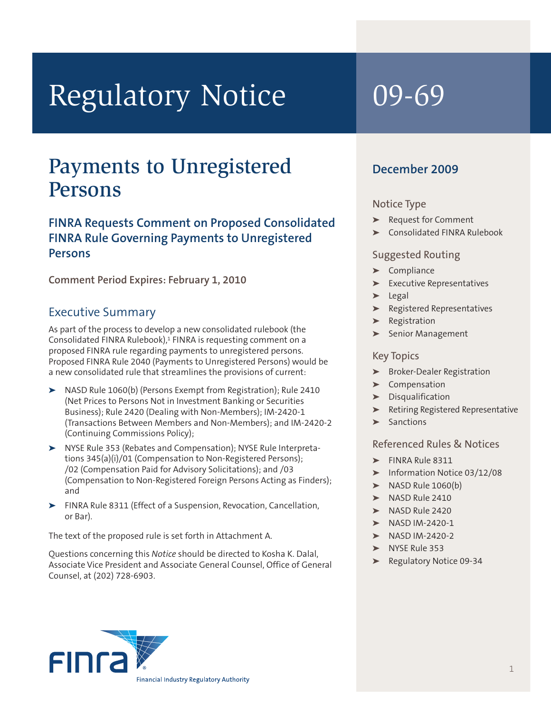# Regulatory Notice 09-69

# Payments to Unregistered Persons

# **FINRA Requests Comment on Proposed Consolidated FINRA Rule Governing Payments to Unregistered Persons**

**Comment Period Expires: February 1, 2010**

# Executive Summary

As part of the process to develop a new consolidated rulebook (the Consolidated FINRA Rulebook), <sup>1</sup> FINRA is requesting comment on a proposed FINRA rule regarding payments to unregistered persons. Proposed FINRA Rule 2040 (Payments to Unregistered Persons) would be a new consolidated rule that streamlines the provisions of current:

- **➤** NASD Rule 1060(b) (Persons Exempt from Registration); Rule 2410 (Net Prices to Persons Not in Investment Banking or Securities Business); Rule 2420 (Dealing with Non-Members); IM-2420-1 (Transactions Between Members and Non-Members); and IM-2420-2 (Continuing Commissions Policy);
- **➤** NYSE Rule 353 (Rebates and Compensation); NYSE Rule Interpretations 345(a)(i)/01 (Compensation to Non-Registered Persons); /02 (Compensation Paid for Advisory Solicitations); and /03 (Compensation to Non-Registered Foreign Persons Acting as Finders); and
- **➤** FINRA Rule 8311 (Effect of a Suspension, Revocation, Cancellation, or Bar).

The text of the proposed rule is set forth in Attachment A.

Questions concerning this *Notice* should be directed to Kosha K. Dalal, Associate Vice President and Associate General Counsel, Office of General Counsel, at (202) 728-6903.

# **December 2009**

# Notice Type

- **➤** Request for Comment
- **➤** Consolidated FINRA Rulebook

# Suggested Routing

- **➤** Compliance
- **➤** Executive Representatives
- **➤** Legal
- **➤** Registered Representatives
- **➤** Registration
- **➤** Senior Management

# Key Topics

- **➤** Broker-Dealer Registration
- **➤** Compensation
- **➤** Disqualification
- **➤** Retiring Registered Representative
- **➤** Sanctions

# Referenced Rules & Notices

- **➤** FINRA Rule 8311
- **➤** Information Notice 03/12/08
- **➤** NASD Rule 1060(b)
- **➤** NASD Rule 2410
- **➤** NASD Rule 2420
- **➤** NASD IM-2420-1
- **➤** NASD IM-2420-2
- **➤** NYSE Rule 353
- **➤** Regulatory Notice 09-34

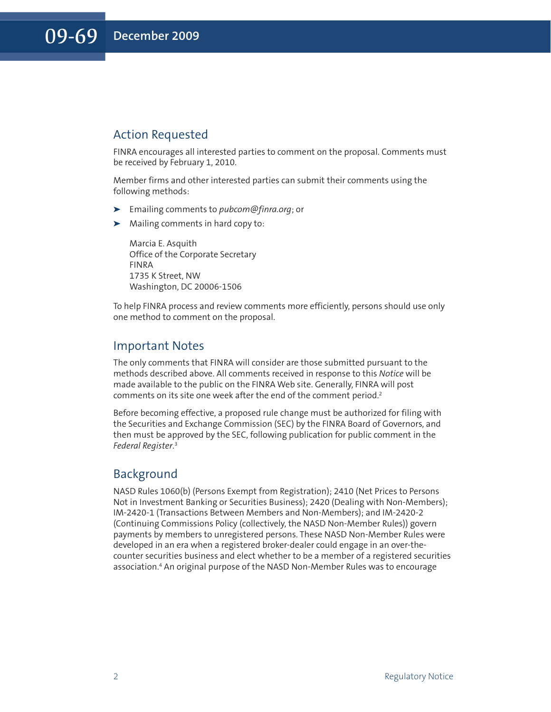# Action Requested

FINRA encourages all interested parties to comment on the proposal. Comments must be received by February 1, 2010.

Member firms and other interested parties can submit their comments using the following methods:

- **➤** Emailing comments to *pubcom@finra.org*; or
- **➤** Mailing comments in hard copy to:

Marcia E. Asquith Office of the Corporate Secretary FINRA 1735 K Street, NW Washington, DC 20006-1506

To help FINRA process and review comments more efficiently, persons should use only one method to comment on the proposal.

# Important Notes

The only comments that FINRA will consider are those submitted pursuant to the methods described above. All comments received in response to this *Notice* will be made available to the public on the FINRA Web site. Generally, FINRA will post comments on its site one week after the end of the comment period. 2

Before becoming effective, a proposed rule change must be authorized for filing with the Securities and Exchange Commission (SEC) by the FINRA Board of Governors, and then must be approved by the SEC, following publication for public comment in the *Federal Register*. 3

# Background

NASD Rules 1060(b) (Persons Exempt from Registration); 2410 (Net Prices to Persons Not in Investment Banking or Securities Business); 2420 (Dealing with Non-Members); IM-2420-1 (Transactions Between Members and Non-Members); and IM-2420-2 (Continuing Commissions Policy (collectively, the NASD Non-Member Rules)) govern payments by members to unregistered persons. These NASD Non-Member Rules were developed in an era when a registered broker-dealer could engage in an over-thecounter securities business and elect whether to be a member of a registered securities association. <sup>4</sup> An original purpose of the NASD Non-Member Rules was to encourage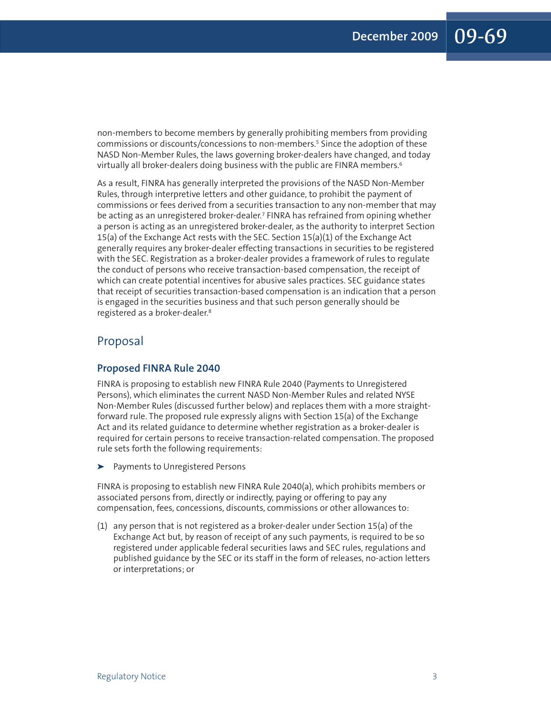non-members to become members by generally prohibiting members from providing commissions or discounts/concessions to non-members. <sup>5</sup> Since the adoption of these NASD Non-Member Rules, the laws governing broker-dealers have changed, and today virtually all broker-dealers doing business with the public are FINRA members. 6

As a result, FINRA has generally interpreted the provisions of the NASD Non-Member Rules, through interpretive letters and other guidance, to prohibit the payment of commissions or fees derived from a securities transaction to any non-member that may be acting as an unregistered broker-dealer. <sup>7</sup> FINRA has refrained from opining whether a person is acting as an unregistered broker-dealer, as the authority to interpret Section 15(a) of the Exchange Act rests with the SEC. Section 15(a)(1) of the Exchange Act generally requires any broker-dealer effecting transactions in securities to be registered with the SEC. Registration as a broker-dealer provides a framework of rules to regulate the conduct of persons who receive transaction-based compensation, the receipt of which can create potential incentives for abusive sales practices. SEC guidance states that receipt of securities transaction-based compensation is an indication that a person is engaged in the securities business and that such person generally should be registered as a broker-dealer. 8

# Proposal

### **Proposed FINRA Rule 2040**

FINRA is proposing to establish new FINRA Rule 2040 (Payments to Unregistered Persons), which eliminates the current NASD Non-Member Rules and related NYSE Non-Member Rules (discussed further below) and replaces them with a more straightforward rule. The proposed rule expressly aligns with Section 15(a) of the Exchange Act and its related guidance to determine whether registration as a broker-dealer is required for certain persons to receive transaction-related compensation. The proposed rule sets forth the following requirements:

**➤** Payments to Unregistered Persons

FINRA is proposing to establish new FINRA Rule 2040(a), which prohibits members or associated persons from, directly or indirectly, paying or offering to pay any compensation, fees, concessions, discounts, commissions or other allowances to:

(1) any person that is not registered as a broker-dealer under Section 15(a) of the Exchange Act but, by reason of receipt of any such payments, is required to be so registered under applicable federal securities laws and SEC rules, regulations and published guidance by the SEC or its staff in the form of releases, no-action letters or interpretations; or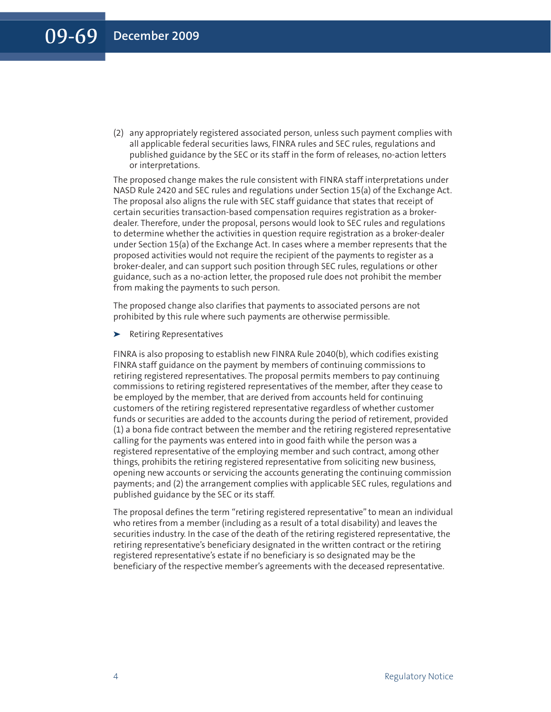(2) any appropriately registered associated person, unless such payment complies with all applicable federal securities laws, FINRA rules and SEC rules, regulations and published guidance by the SEC or its staff in the form of releases, no-action letters or interpretations.

The proposed change makes the rule consistent with FINRA staff interpretations under NASD Rule 2420 and SEC rules and regulations under Section 15(a) of the Exchange Act. The proposal also aligns the rule with SEC staff guidance that states that receipt of certain securities transaction-based compensation requires registration as a brokerdealer. Therefore, under the proposal, persons would look to SEC rules and regulations to determine whether the activities in question require registration as a broker-dealer under Section 15(a) of the Exchange Act. In cases where a member represents that the proposed activities would not require the recipient of the payments to register as a broker-dealer, and can support such position through SEC rules, regulations or other guidance, such as a no-action letter, the proposed rule does not prohibit the member from making the payments to such person.

The proposed change also clarifies that payments to associated persons are not prohibited by this rule where such payments are otherwise permissible.

**➤** Retiring Representatives

FINRA is also proposing to establish new FINRA Rule 2040(b), which codifies existing FINRA staff guidance on the payment by members of continuing commissions to retiring registered representatives. The proposal permits members to pay continuing commissions to retiring registered representatives of the member, after they cease to be employed by the member, that are derived from accounts held for continuing customers of the retiring registered representative regardless of whether customer funds or securities are added to the accounts during the period of retirement, provided (1) a bona fide contract between the member and the retiring registered representative calling for the payments was entered into in good faith while the person was a registered representative of the employing member and such contract, among other things, prohibits the retiring registered representative from soliciting new business, opening new accounts or servicing the accounts generating the continuing commission payments; and (2) the arrangement complies with applicable SEC rules, regulations and published guidance by the SEC or its staff.

The proposal defines the term "retiring registered representative" to mean an individual who retires from a member (including as a result of a total disability) and leaves the securities industry. In the case of the death of the retiring registered representative, the retiring representative's beneficiary designated in the written contract or the retiring registered representative's estate if no beneficiary is so designated may be the beneficiary of the respective member's agreements with the deceased representative.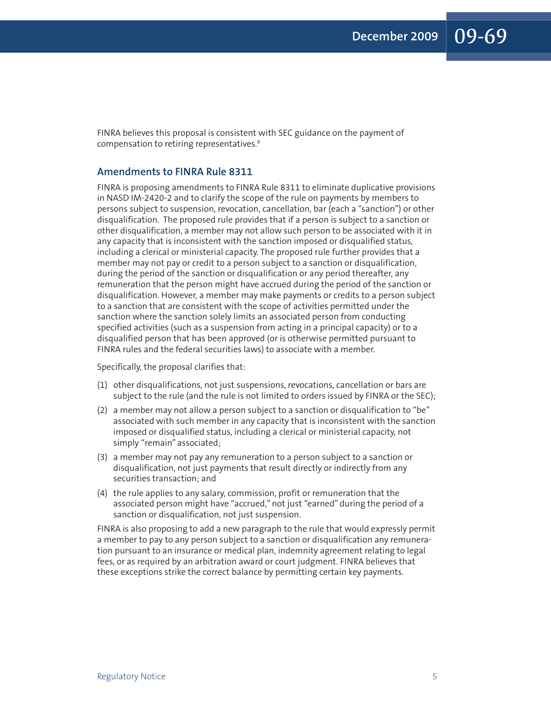FINRA believes this proposal is consistent with SEC guidance on the payment of compensation to retiring representatives. 9

#### **Amendments to FINRA Rule 8311**

FINRA is proposing amendments to FINRA Rule 8311 to eliminate duplicative provisions in NASD IM-2420-2 and to clarify the scope of the rule on payments by members to persons subject to suspension, revocation, cancellation, bar (each a "sanction") or other disqualification. The proposed rule provides that if a person is subject to a sanction or other disqualification, a member may not allow such person to be associated with it in any capacity that is inconsistent with the sanction imposed or disqualified status, including a clerical or ministerial capacity. The proposed rule further provides that a member may not pay or credit to a person subject to a sanction or disqualification, during the period of the sanction or disqualification or any period thereafter, any remuneration that the person might have accrued during the period of the sanction or disqualification. However, a member may make payments or credits to a person subject to a sanction that are consistent with the scope of activities permitted under the sanction where the sanction solely limits an associated person from conducting specified activities (such as a suspension from acting in a principal capacity) or to a disqualified person that has been approved (or is otherwise permitted pursuant to FINRA rules and the federal securities laws) to associate with a member.

Specifically, the proposal clarifies that:

- (1) other disqualifications, not just suspensions, revocations, cancellation or bars are subject to the rule (and the rule is not limited to orders issued by FINRA or the SEC);
- (2) a member may not allow a person subject to a sanction or disqualification to "be" associated with such member in any capacity that is inconsistent with the sanction imposed or disqualified status, including a clerical or ministerial capacity, not simply "remain" associated;
- (3) a member may not pay any remuneration to a person subject to a sanction or disqualification, not just payments that result directly or indirectly from any securities transaction; and
- (4) the rule applies to any salary, commission, profit or remuneration that the associated person might have "accrued," not just "earned" during the period of a sanction or disqualification, not just suspension.

FINRA is also proposing to add a new paragraph to the rule that would expressly permit a member to pay to any person subject to a sanction or disqualification any remuneration pursuant to an insurance or medical plan, indemnity agreement relating to legal fees, or as required by an arbitration award or court judgment. FINRA believes that these exceptions strike the correct balance by permitting certain key payments.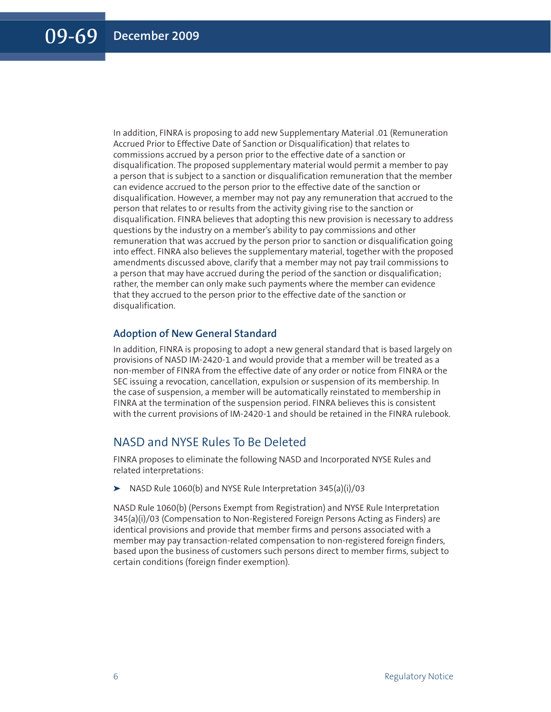In addition, FINRA is proposing to add new Supplementary Material .01 (Remuneration Accrued Prior to Effective Date of Sanction or Disqualification) that relates to commissions accrued by a person prior to the effective date of a sanction or disqualification. The proposed supplementary material would permit a member to pay a person that is subject to a sanction or disqualification remuneration that the member can evidence accrued to the person prior to the effective date of the sanction or disqualification. However, a member may not pay any remuneration that accrued to the person that relates to or results from the activity giving rise to the sanction or disqualification. FINRA believes that adopting this new provision is necessary to address questions by the industry on a member's ability to pay commissions and other remuneration that was accrued by the person prior to sanction or disqualification going into effect. FINRA also believes the supplementary material, together with the proposed amendments discussed above, clarify that a member may not pay trail commissions to a person that may have accrued during the period of the sanction or disqualification; rather, the member can only make such payments where the member can evidence that they accrued to the person prior to the effective date of the sanction or disqualification.

### **Adoption of New General Standard**

In addition, FINRA is proposing to adopt a new general standard that is based largely on provisions of NASD IM-2420-1 and would provide that a member will be treated as a non-member of FINRA from the effective date of any order or notice from FINRA or the SEC issuing a revocation, cancellation, expulsion or suspension of its membership. In the case of suspension, a member will be automatically reinstated to membership in FINRA at the termination of the suspension period. FINRA believes this is consistent with the current provisions of IM-2420-1 and should be retained in the FINRA rulebook.

# NASD and NYSE Rules To Be Deleted

FINRA proposes to eliminate the following NASD and Incorporated NYSE Rules and related interpretations:

**➤** NASD Rule 1060(b) and NYSE Rule Interpretation 345(a)(i)/03

NASD Rule 1060(b) (Persons Exempt from Registration) and NYSE Rule Interpretation 345(a)(i)/03 (Compensation to Non-Registered Foreign Persons Acting as Finders) are identical provisions and provide that member firms and persons associated with a member may pay transaction-related compensation to non-registered foreign finders, based upon the business of customers such persons direct to member firms, subject to certain conditions (foreign finder exemption).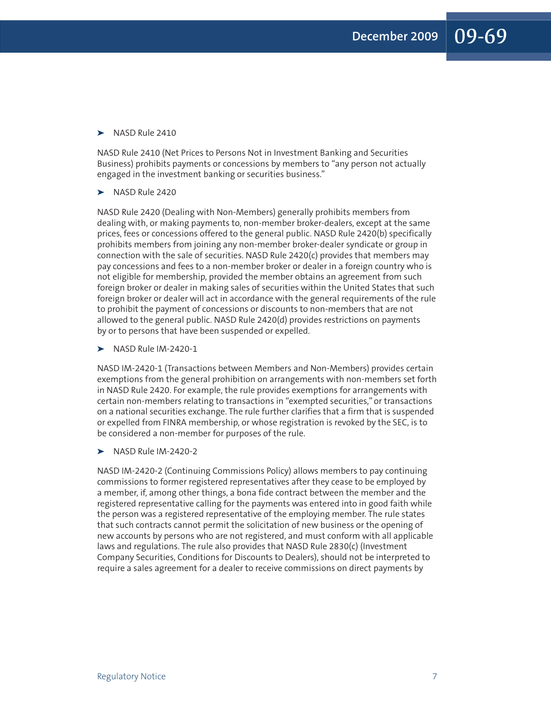#### **➤** NASD Rule 2410

NASD Rule 2410 (Net Prices to Persons Not in Investment Banking and Securities Business) prohibits payments or concessions by members to "any person not actually engaged in the investment banking or securities business."

#### **➤** NASD Rule 2420

NASD Rule 2420 (Dealing with Non-Members) generally prohibits members from dealing with, or making payments to, non-member broker-dealers, except at the same prices, fees or concessions offered to the general public. NASD Rule 2420(b) specifically prohibits members from joining any non-member broker-dealer syndicate or group in connection with the sale of securities. NASD Rule 2420(c) provides that members may pay concessions and fees to a non-member broker or dealer in a foreign country who is not eligible for membership, provided the member obtains an agreement from such foreign broker or dealer in making sales of securities within the United States that such foreign broker or dealer will act in accordance with the general requirements of the rule to prohibit the payment of concessions or discounts to non-members that are not allowed to the general public. NASD Rule 2420(d) provides restrictions on payments by or to persons that have been suspended or expelled.

**➤** NASD Rule IM-2420-1

NASD IM-2420-1 (Transactions between Members and Non-Members) provides certain exemptions from the general prohibition on arrangements with non-members set forth in NASD Rule 2420. For example, the rule provides exemptions for arrangements with certain non-members relating to transactions in "exempted securities," or transactions on a national securities exchange. The rule further clarifies that a firm that is suspended or expelled from FINRA membership, or whose registration is revoked by the SEC, is to be considered a non-member for purposes of the rule.

**➤** NASD Rule IM-2420-2

NASD IM-2420-2 (Continuing Commissions Policy) allows members to pay continuing commissions to former registered representatives after they cease to be employed by a member, if, among other things, a bona fide contract between the member and the registered representative calling for the payments was entered into in good faith while the person was a registered representative of the employing member. The rule states that such contracts cannot permit the solicitation of new business or the opening of new accounts by persons who are not registered, and must conform with all applicable laws and regulations. The rule also provides that NASD Rule 2830(c) (Investment Company Securities, Conditions for Discounts to Dealers), should not be interpreted to require a sales agreement for a dealer to receive commissions on direct payments by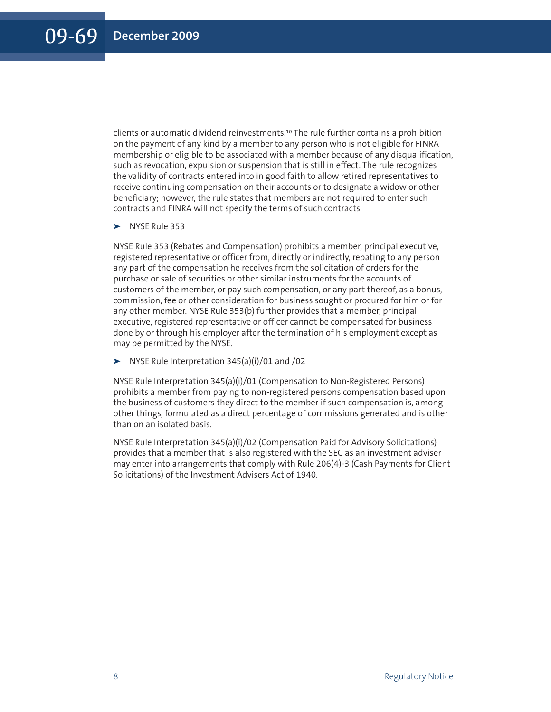clients or automatic dividend reinvestments. <sup>10</sup> The rule further contains a prohibition on the payment of any kind by a member to any person who is not eligible for FINRA membership or eligible to be associated with a member because of any disqualification, such as revocation, expulsion or suspension that is still in effect. The rule recognizes the validity of contracts entered into in good faith to allow retired representatives to receive continuing compensation on their accounts or to designate a widow or other beneficiary; however, the rule states that members are not required to enter such contracts and FINRA will not specify the terms of such contracts.

**➤** NYSE Rule 353

NYSE Rule 353 (Rebates and Compensation) prohibits a member, principal executive, registered representative or officer from, directly or indirectly, rebating to any person any part of the compensation he receives from the solicitation of orders for the purchase or sale of securities or other similar instruments for the accounts of customers of the member, or pay such compensation, or any part thereof, as a bonus, commission, fee or other consideration for business sought or procured for him or for any other member. NYSE Rule 353(b) further provides that a member, principal executive, registered representative or officer cannot be compensated for business done by or through his employer after the termination of his employment except as may be permitted by the NYSE.

**➤** NYSE Rule Interpretation 345(a)(i)/01 and /02

NYSE Rule Interpretation 345(a)(i)/01 (Compensation to Non-Registered Persons) prohibits a member from paying to non-registered persons compensation based upon the business of customers they direct to the member if such compensation is, among other things, formulated as a direct percentage of commissions generated and is other than on an isolated basis.

NYSE Rule Interpretation 345(a)(i)/02 (Compensation Paid for Advisory Solicitations) provides that a member that is also registered with the SEC as an investment adviser may enter into arrangements that comply with Rule 206(4)-3 (Cash Payments for Client Solicitations) of the Investment Advisers Act of 1940.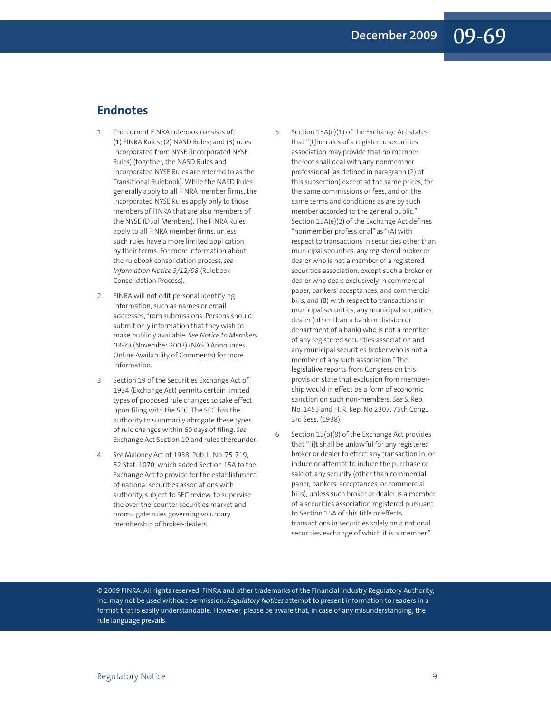# **Endnotes**

- 1 The current FINRA rulebook consists of: (1) FINRA Rules; (2) NASD Rules; and (3) rules incorporated from NYSE (Incorporated NYSE Rules) (together, the NASD Rules and Incorporated NYSE Rules are referred to as the Transitional Rulebook). While the NASD Rules generally apply to all FINRA member firms, the Incorporated NYSE Rules apply only to those members of FINRA that are also members of the NYSE (Dual Members). The FINRA Rules apply to all FINRA member firms, unless such rules have a more limited application by their terms. For more information about the rulebook consolidation process, *see Information Notice 3/12/08* (Rulebook Consolidation Process).
- 2 FINRA will not edit personal identifying information, such as names or email addresses, from submissions. Persons should submit only information that they wish to make publicly available. *See Notice to Members 03-73* (November 2003) (NASD Announces Online Availability of Comments) for more information.
- 3 Section 19 of the Securities Exchange Act of 1934 (Exchange Act) permits certain limited types of proposed rule changes to take effect upon filing with the SEC. The SEC has the authority to summarily abrogate these types of rule changes within 60 days of filing. *See* Exchange Act Section 19 and rules thereunder.
- 4 *See* Maloney Act of 1938. Pub. L. No. 75-719, 52 Stat. 1070, which added Section 15A to the Exchange Act to provide for the establishment of national securities associations with authority, subject to SEC review, to supervise the over-the-counter securities market and promulgate rules governing voluntary membership of broker-dealers.

5 Section 15A(e)(1) of the Exchange Act states that "[t]he rules of a registered securities association may provide that no member thereof shall deal with any nonmember professional (as defined in paragraph (2) of this subsection) except at the same prices, for the same commissions or fees, and on the same terms and conditions as are by such member accorded to the general public." Section 15A(e)(2) of the Exchange Act defines "nonmember professional" as "(A) with respect to transactions in securities other than municipal securities, any registered broker or dealer who is not a member of a registered securities association, except such a broker or dealer who deals exclusively in commercial paper, bankers' acceptances, and commercial bills, and (B) with respect to transactions in municipal securities, any municipal securities dealer (other than a bank or division or department of a bank) who is not a member of any registered securities association and any municipal securities broker who is not a member of any such association."The legislative reports from Congress on this provision state that exclusion from membership would in effect be a form of economic sanction on such non-members. *See* S. Rep. No. 1455 and H. R. Rep. No 2307, 75th Cong., 3rd Sess. (1938).

6 Section 15(b)(8) of the Exchange Act provides that "[i]t shall be unlawful for any registered broker or dealer to effect any transaction in, or induce or attempt to induce the purchase or sale of, any security (other than commercial paper, bankers' acceptances, or commercial bills), unless such broker or dealer is a member of a securities association registered pursuant to Section 15A of this title or effects transactions in securities solely on a national securities exchange of which it is a member."

© 2009 FINRA. All rights reserved. FINRA and other trademarks of the Financial Industry Regulatory Authority, Inc. may not be used without permission. *Regulatory Notices* attempt to present information to readers in a format that is easily understandable. However, please be aware that, in case of any misunderstanding, the rule language prevails.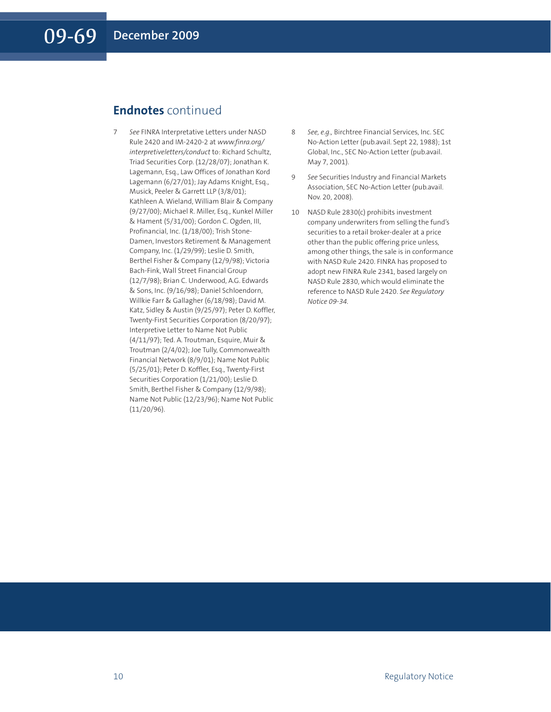# **Endnotes** continued

- 7 *See* FINRA Interpretative Letters under NASD Rule 2420 and IM-2420-2 at *www.finra.org/ interpretiveletters/conduct* to: Richard Schultz, Triad Securities Corp. (12/28/07); Jonathan K. Lagemann, Esq., Law Offices of Jonathan Kord Lagemann (6/27/01); Jay Adams Knight, Esq., Musick, Peeler & Garrett LLP (3/8/01); Kathleen A. Wieland, William Blair & Company (9/27/00); Michael R. Miller, Esq., Kunkel Miller & Hament (5/31/00); Gordon C. Ogden, III, Profinancial, Inc. (1/18/00); Trish Stone-Damen, Investors Retirement & Management Company, Inc. (1/29/99); Leslie D. Smith, Berthel Fisher & Company (12/9/98); Victoria Bach-Fink, Wall Street Financial Group (12/7/98); Brian C. Underwood, A.G. Edwards & Sons, Inc. (9/16/98); Daniel Schloendorn, Willkie Farr & Gallagher (6/18/98); David M. Katz, Sidley & Austin (9/25/97); Peter D. Koffler, Twenty-First Securities Corporation (8/20/97); Interpretive Letter to Name Not Public (4/11/97); Ted. A. Troutman, Esquire, Muir & Troutman (2/4/02); Joe Tully, Commonwealth Financial Network (8/9/01); Name Not Public (5/25/01); Peter D. Koffler, Esq., Twenty-First Securities Corporation (1/21/00); Leslie D. Smith, Berthel Fisher & Company (12/9/98); Name Not Public (12/23/96); Name Not Public (11/20/96).
- 8 *See, e.g.,* Birchtree Financial Services, Inc. SEC No-Action Letter (pub.avail. Sept 22, 1988); 1st Global, Inc., SEC No-Action Letter (pub.avail. May 7, 2001).
- 9 *See* Securities Industry and Financial Markets Association, SEC No-Action Letter (pub.avail. Nov. 20, 2008).
- 10 NASD Rule 2830(c) prohibits investment company underwriters from selling the fund's securities to a retail broker-dealer at a price other than the public offering price unless, among other things, the sale is in conformance with NASD Rule 2420. FINRA has proposed to adopt new FINRA Rule 2341, based largely on NASD Rule 2830, which would eliminate the reference to NASD Rule 2420. *See Regulatory Notice 09-34.*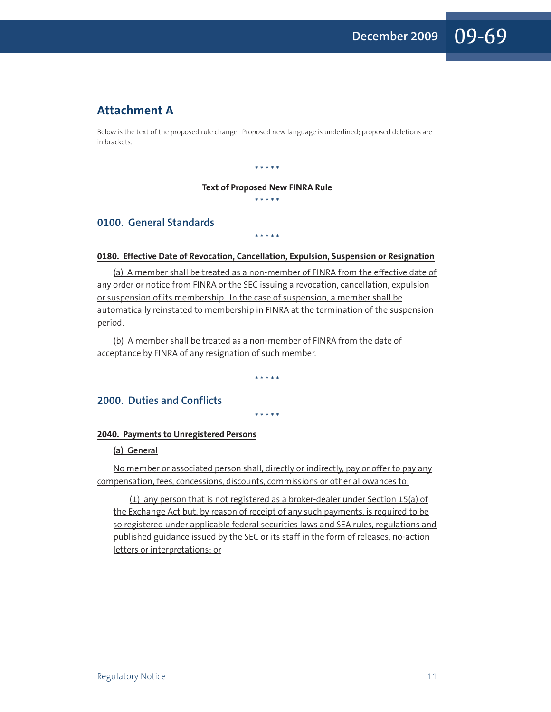# **Attachment A**

Below is the text of the proposed rule change. Proposed new language is underlined; proposed deletions are in brackets.

#### \* \* \* \* \*

#### **Text of Proposed New FINRA Rule**

\* \* \* \* \*

# **0100. General Standards**

### **0180. Effective Date of Revocation, Cancellation, Expulsion, Suspension or Resignation**

\* \* \* \* \*

(a) A member shall be treated as a non-member of FINRA from the effective date of any order or notice from FINRA or the SEC issuing a revocation, cancellation, expulsion or suspension of its membership. In the case of suspension, a member shall be automatically reinstated to membership in FINRA at the termination of the suspension period.

(b) A member shall be treated as a non-member of FINRA from the date of acceptance by FINRA of any resignation of such member.

\* \* \* \* \*

\* \* \* \* \*

## **2000. Duties and Conflicts**

#### **2040. Payments to Unregistered Persons**

#### **(a) General**

No member or associated person shall, directly or indirectly, pay or offer to pay any compensation, fees, concessions, discounts, commissions or other allowances to:

(1) any person that is not registered as a broker-dealer under Section 15(a) of the Exchange Act but, by reason of receipt of any such payments, is required to be so registered under applicable federal securities laws and SEA rules, regulations and published guidance issued by the SEC or its staff in the form of releases, no-action letters or interpretations; or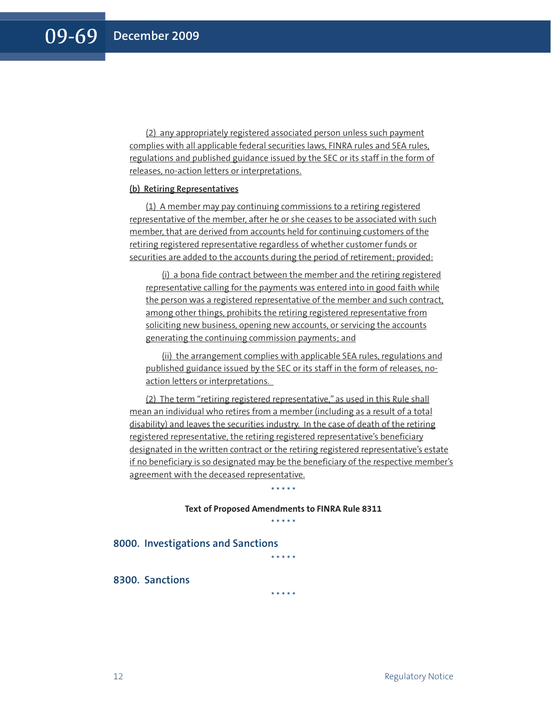(2) any appropriately registered associated person unless such payment complies with all applicable federal securities laws, FINRA rules and SEA rules, regulations and published guidance issued by the SEC or its staff in the form of releases, no-action letters or interpretations.

#### **(b) Retiring Representatives**

(1) A member may pay continuing commissions to a retiring registered representative of the member, after he or she ceases to be associated with such member, that are derived from accounts held for continuing customers of the retiring registered representative regardless of whether customer funds or securities are added to the accounts during the period of retirement; provided:

(i) a bona fide contract between the member and the retiring registered representative calling for the payments was entered into in good faith while the person was a registered representative of the member and such contract, among other things, prohibits the retiring registered representative from soliciting new business, opening new accounts, or servicing the accounts generating the continuing commission payments; and

(ii) the arrangement complies with applicable SEA rules, regulations and published guidance issued by the SEC or its staff in the form of releases, noaction letters or interpretations.

(2) The term "retiring registered representative," as used in this Rule shall mean an individual who retires from a member (including as a result of a total disability) and leaves the securities industry. In the case of death of the retiring registered representative, the retiring registered representative's beneficiary designated in the written contract or the retiring registered representative's estate if no beneficiary is so designated may be the beneficiary of the respective member's agreement with the deceased representative.

> **Text of Proposed Amendments to FINRA Rule 8311** \* \* \* \* \*

\* \* \* \* \*

#### **8000. Investigations and Sanctions**

**8300. Sanctions**

\* \* \* \* \*

\* \* \* \* \*